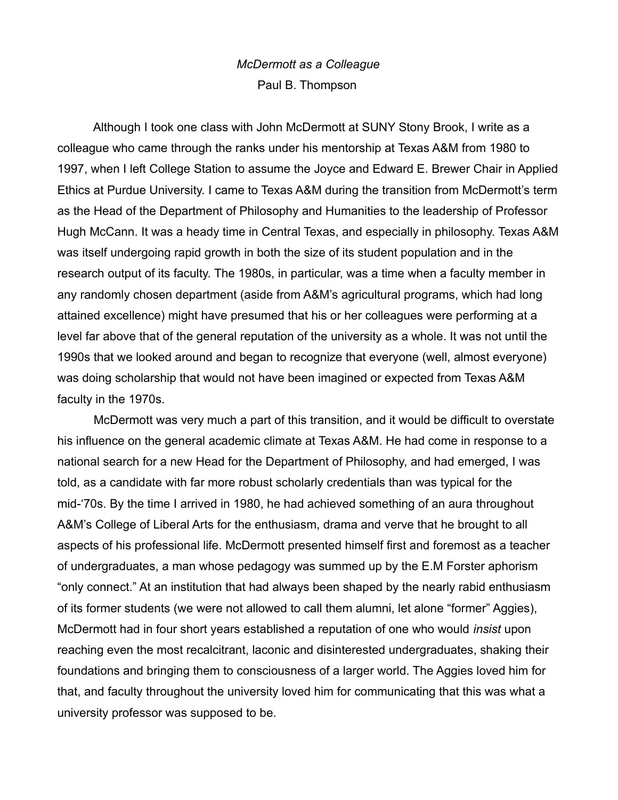## *McDermott as a Colleague* Paul B. Thompson

Although I took one class with John McDermott at SUNY Stony Brook, I write as a colleague who came through the ranks under his mentorship at Texas A&M from 1980 to 1997, when I left College Station to assume the Joyce and Edward E. Brewer Chair in Applied Ethics at Purdue University. I came to Texas A&M during the transition from McDermott's term as the Head of the Department of Philosophy and Humanities to the leadership of Professor Hugh McCann. It was a heady time in Central Texas, and especially in philosophy. Texas A&M was itself undergoing rapid growth in both the size of its student population and in the research output of its faculty. The 1980s, in particular, was a time when a faculty member in any randomly chosen department (aside from A&M's agricultural programs, which had long attained excellence) might have presumed that his or her colleagues were performing at a level far above that of the general reputation of the university as a whole. It was not until the 1990s that we looked around and began to recognize that everyone (well, almost everyone) was doing scholarship that would not have been imagined or expected from Texas A&M faculty in the 1970s.

McDermott was very much a part of this transition, and it would be difficult to overstate his influence on the general academic climate at Texas A&M. He had come in response to a national search for a new Head for the Department of Philosophy, and had emerged, I was told, as a candidate with far more robust scholarly credentials than was typical for the mid-'70s. By the time I arrived in 1980, he had achieved something of an aura throughout A&M's College of Liberal Arts for the enthusiasm, drama and verve that he brought to all aspects of his professional life. McDermott presented himself first and foremost as a teacher of undergraduates, a man whose pedagogy was summed up by the E.M Forster aphorism "only connect." At an institution that had always been shaped by the nearly rabid enthusiasm of its former students (we were not allowed to call them alumni, let alone "former" Aggies), McDermott had in four short years established a reputation of one who would *insist* upon reaching even the most recalcitrant, laconic and disinterested undergraduates, shaking their foundations and bringing them to consciousness of a larger world. The Aggies loved him for that, and faculty throughout the university loved him for communicating that this was what a university professor was supposed to be.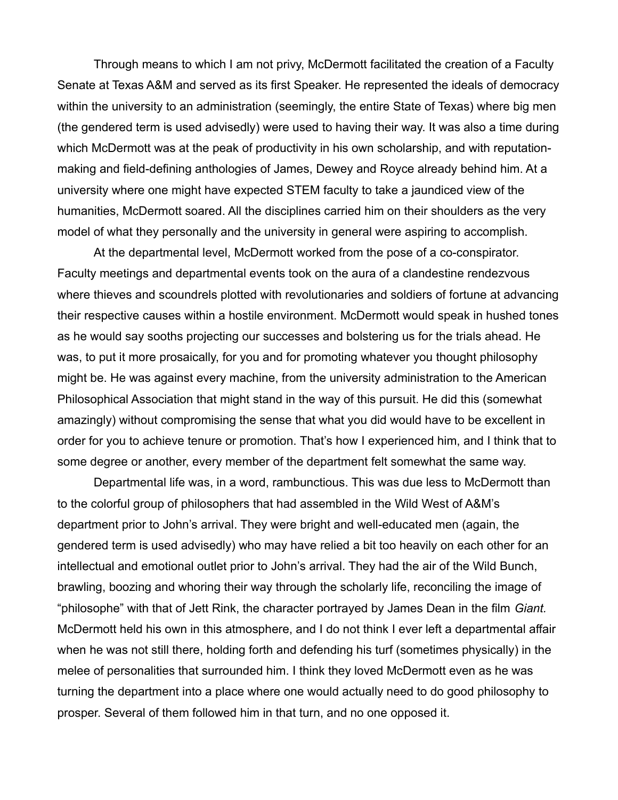Through means to which I am not privy, McDermott facilitated the creation of a Faculty Senate at Texas A&M and served as its first Speaker. He represented the ideals of democracy within the university to an administration (seemingly, the entire State of Texas) where big men (the gendered term is used advisedly) were used to having their way. It was also a time during which McDermott was at the peak of productivity in his own scholarship, and with reputationmaking and field-defining anthologies of James, Dewey and Royce already behind him. At a university where one might have expected STEM faculty to take a jaundiced view of the humanities, McDermott soared. All the disciplines carried him on their shoulders as the very model of what they personally and the university in general were aspiring to accomplish.

At the departmental level, McDermott worked from the pose of a co-conspirator. Faculty meetings and departmental events took on the aura of a clandestine rendezvous where thieves and scoundrels plotted with revolutionaries and soldiers of fortune at advancing their respective causes within a hostile environment. McDermott would speak in hushed tones as he would say sooths projecting our successes and bolstering us for the trials ahead. He was, to put it more prosaically, for you and for promoting whatever you thought philosophy might be. He was against every machine, from the university administration to the American Philosophical Association that might stand in the way of this pursuit. He did this (somewhat amazingly) without compromising the sense that what you did would have to be excellent in order for you to achieve tenure or promotion. That's how I experienced him, and I think that to some degree or another, every member of the department felt somewhat the same way.

Departmental life was, in a word, rambunctious. This was due less to McDermott than to the colorful group of philosophers that had assembled in the Wild West of A&M's department prior to John's arrival. They were bright and well-educated men (again, the gendered term is used advisedly) who may have relied a bit too heavily on each other for an intellectual and emotional outlet prior to John's arrival. They had the air of the Wild Bunch, brawling, boozing and whoring their way through the scholarly life, reconciling the image of "philosophe" with that of Jett Rink, the character portrayed by James Dean in the film *Giant.*  McDermott held his own in this atmosphere, and I do not think I ever left a departmental affair when he was not still there, holding forth and defending his turf (sometimes physically) in the melee of personalities that surrounded him. I think they loved McDermott even as he was turning the department into a place where one would actually need to do good philosophy to prosper. Several of them followed him in that turn, and no one opposed it.